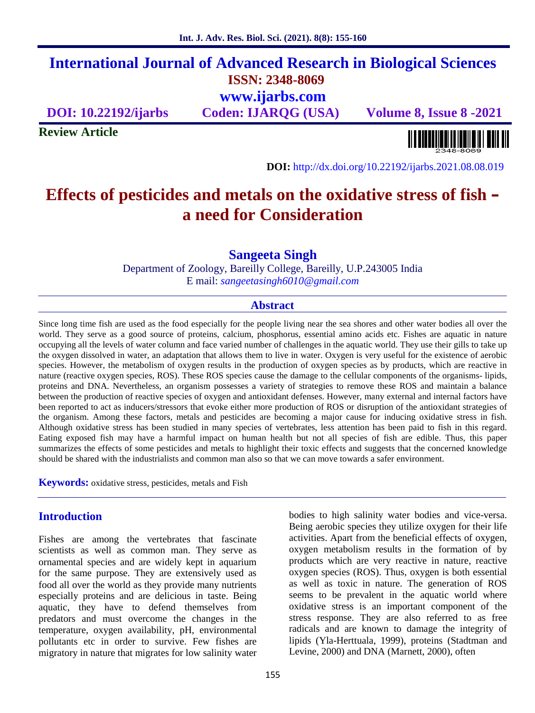# **International Journal of Advanced Research in Biological Sciences ISSN: 2348-8069 www.ijarbs.com**

**DOI: 10.22192/ijarbs Coden: IJARQG (USA) Volume 8, Issue 8 -2021**

**Review Article**

<u> A TANTA A MATEMATIKA POLITIK</u>

**DOI:** http://dx.doi.org/10.22192/ijarbs.2021.08.08.019

# **Effects of pesticides and metals on the oxidative stress of fish – a need for Consideration**

**Sangeeta Singh**

Department of Zoology, Bareilly College, Bareilly, U.P.243005 India E mail: *sangeetasingh6010@gmail.com*

#### **Abstract**

Since long time fish are used as the food especially for the people living near the sea shores and other water bodies all over the world. They serve as a good source of proteins, calcium, phosphorus, essential amino acids etc. Fishes are aquatic in nature occupying all the levels of water column and face varied number of challenges in the aquatic world. They use their gills to take up the oxygen dissolved in water, an adaptation that allows them to live in water. Oxygen is very useful for the existence of aerobic species. However, the metabolism of oxygen results in the production of oxygen species as by products, which are reactive in nature (reactive oxygen species, ROS). These ROS species cause the damage to the cellular components of the organisms- lipids, proteins and DNA. Nevertheless, an organism possesses a variety of strategies to remove these ROS and maintain a balance between the production of reactive species of oxygen and antioxidant defenses. However, many external and internal factors have been reported to act as inducers/stressors that evoke either more production of ROS or disruption of the antioxidant strategies of the organism. Among these factors, metals and pesticides are becoming a major cause for inducing oxidative stress in fish. Although oxidative stress has been studied in many species of vertebrates, less attention has been paid to fish in this regard. Eating exposed fish may have a harmful impact on human health but not all species of fish are edible. Thus, this paper summarizes the effects of some pesticides and metals to highlight their toxic effects and suggests that the concerned knowledge should be shared with the industrialists and common man also so that we can move towards a safer environment.

**Keywords:** oxidative stress, pesticides, metals and Fish

# **Introduction**

Fishes are among the vertebrates that fascinate scientists as well as common man. They serve as ornamental species and are widely kept in aquarium for the same purpose. They are extensively used as food all over the world as they provide many nutrients especially proteins and are delicious in taste. Being aquatic, they have to defend themselves from predators and must overcome the changes in the temperature, oxygen availability, pH, environmental pollutants etc in order to survive. Few fishes are migratory in nature that migrates for low salinity water bodies to high salinity water bodies and vice-versa. Being aerobic species they utilize oxygen for their life activities. Apart from the beneficial effects of oxygen, oxygen metabolism results in the formation of by products which are very reactive in nature, reactive oxygen species (ROS). Thus, oxygen is both essential as well as toxic in nature. The generation of ROS seems to be prevalent in the aquatic world where oxidative stress is an important component of the stress response. They are also referred to as free radicals and are known to damage the integrity of lipids (Yla-Herttuala, 1999), proteins (Stadtman and Levine, 2000) and DNA (Marnett, 2000), often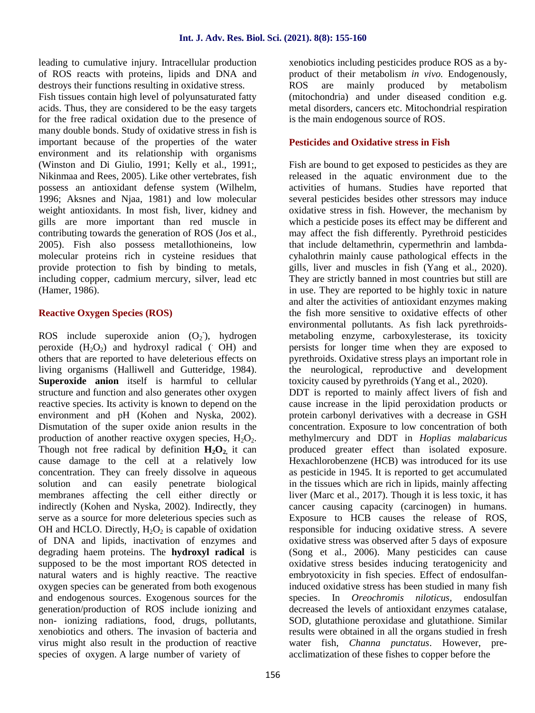leading to cumulative injury. Intracellular production of ROS reacts with proteins, lipids and DNA and destroys their functions resulting in oxidative stress.

Fish tissues contain high level of polyunsaturated fatty acids. Thus, they are considered to be the easy targets for the free radical oxidation due to the presence of many double bonds. Study of oxidative stress in fish is important because of the properties of the water environment and its relationship with organisms (Winston and Di Giulio, 1991; Kelly et al., 1991;, Nikinmaa and Rees, 2005). Like other vertebrates, fish possess an antioxidant defense system (Wilhelm, 1996; Aksnes and Njaa, 1981) and low molecular weight antioxidants. In most fish, liver, kidney and gills are more important than red muscle in contributing towards the generation of ROS (Jos et al., 2005). Fish also possess metallothioneins, low molecular proteins rich in cysteine residues that provide protection to fish by binding to metals, including copper, cadmium mercury, silver, lead etc (Hamer, 1986).

# **Reactive Oxygen Species (ROS)**

ROS include superoxide anion (O<sub>2</sub>), hydrogen n peroxide  $(H_2O_2)$  and hydroxyl radical ( $OH$ ) and others that are reported to have deleterious effects on living organisms (Halliwell and Gutteridge, 1984). **Superoxide anion** itself is harmful to cellular structure and function and also generates other oxygen reactive species. Its activity is known to depend on the environment and pH (Kohen and Nyska, 2002). Dismutation of the super oxide anion results in the production of another reactive oxygen species,  $H_2O_2$ . Though not free radical by definition  $H_2O_2$  it can cause damage to the cell at a relatively low concentration. They can freely dissolve in aqueous solution and can easily penetrate biological membranes affecting the cell either directly or indirectly (Kohen and Nyska, 2002). Indirectly, they serve as a source for more deleterious species such as OH and HCLO. Directly,  $H_2O_2$  is capable of oxidation of DNA and lipids, inactivation of enzymes and degrading haem proteins. The **hydroxyl radical** is supposed to be the most important ROS detected in natural waters and is highly reactive. The reactive oxygen species can be generated from both exogenous and endogenous sources. Exogenous sources for the generation/production of ROS include ionizing and non- ionizing radiations, food, drugs, pollutants, xenobiotics and others. The invasion of bacteria and virus might also result in the production of reactive species of oxygen. A large number of variety of

xenobiotics including pesticides produce ROS as a by product of their metabolism *in vivo.* Endogenously, ROS are mainly produced by metabolism (mitochondria) and under diseased condition e.g. metal disorders, cancers etc. Mitochondrial respiration is the main endogenous source of ROS.

# **Pesticides and Oxidative stress in Fish**

Fish are bound to get exposed to pesticides as they are released in the aquatic environment due to the activities of humans. Studies have reported that several pesticides besides other stressors may induce oxidative stress in fish. However, the mechanism by which a pesticide poses its effect may be different and may affect the fish differently. Pyrethroid pesticides that include deltamethrin, cypermethrin and lambda cyhalothrin mainly cause pathological effects in the gills, liver and muscles in fish (Yang et al., 2020). They are strictly banned in most countries but still are in use. They are reported to be highly toxic in nature and alter the activities of antioxidant enzymes making the fish more sensitive to oxidative effects of other environmental pollutants. As fish lack pyrethroids metaboling enzyme, carboxylesterase, its toxicity persists for longer time when they are exposed to pyrethroids. Oxidative stress plays an important role in the neurological, reproductive and development toxicity caused by pyrethroids (Yang et al., 2020).

DDT is reported to mainly affect livers of fish and cause increase in the lipid peroxidation products or protein carbonyl derivatives with a decrease in GSH concentration. Exposure to low concentration of both methylmercury and DDT in *Hoplias malabaricus* produced greater effect than isolated exposure. Hexachlorobenzene (HCB) was introduced for its use as pesticide in 1945. It is reported to get accumulated in the tissues which are rich in lipids, mainly affecting liver (Marc et al., 2017). Though it is less toxic, it has cancer causing capacity (carcinogen) in humans. Exposure to HCB causes the release of ROS, responsible for inducing oxidative stress. A severe oxidative stress was observed after 5 days of exposure (Song et al., 2006). Many pesticides can cause oxidative stress besides inducing teratogenicity and embryotoxicity in fish species. Effect of endosulfaninduced oxidative stress has been studied in many fish species. In *Oreochromis niloticus,* endosulfan decreased the levels of antioxidant enzymes catalase, SOD, glutathione peroxidase and glutathione. Similar results were obtained in all the organs studied in fresh water fish, *Channa punctatus*. However, pre acclimatization of these fishes to copper before the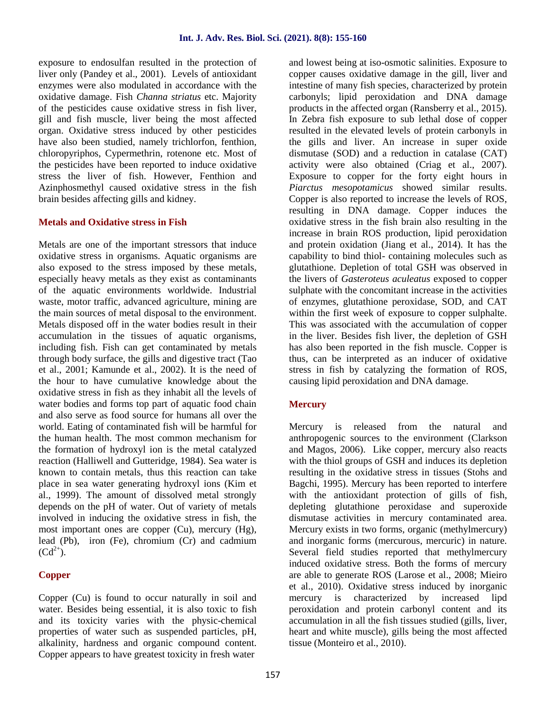exposure to endosulfan resulted in the protection of liver only (Pandey et al., 2001). Levels of antioxidant enzymes were also modulated in accordance with the oxidative damage. Fish *Channa striatus* etc. Majority of the pesticides cause oxidative stress in fish liver, gill and fish muscle, liver being the most affected organ. Oxidative stress induced by other pesticides have also been studied, namely trichlorfon, fenthion, chloropyriphos, Cypermethrin, rotenone etc. Most of the pesticides have been reported to induce oxidative stress the liver of fish. However, Fenthion and Azinphosmethyl caused oxidative stress in the fish brain besides affecting gills and kidney.

#### **Metals and Oxidative stress in Fish**

Metals are one of the important stressors that induce oxidative stress in organisms. Aquatic organisms are also exposed to the stress imposed by these metals, especially heavy metals as they exist as contaminants of the aquatic environments worldwide. Industrial waste, motor traffic, advanced agriculture, mining are the main sources of metal disposal to the environment. Metals disposed off in the water bodies result in their accumulation in the tissues of aquatic organisms, including fish. Fish can get contaminated by metals through body surface, the gills and digestive tract (Tao et al., 2001; Kamunde et al., 2002). It is the need of the hour to have cumulative knowledge about the oxidative stress in fish as they inhabit all the levels of water bodies and forms top part of aquatic food chain and also serve as food source for humans all over the world. Eating of contaminated fish will be harmful for the human health. The most common mechanism for the formation of hydroxyl ion is the metal catalyzed reaction (Halliwell and Gutteridge, 1984). Sea water is known to contain metals, thus this reaction can take place in sea water generating hydroxyl ions (Kim et al., 1999). The amount of dissolved metal strongly depends on the pH of water. Out of variety of metals involved in inducing the oxidative stress in fish, the most important ones are copper (Cu), mercury (Hg), lead (Pb), iron (Fe), chromium (Cr) and cadmium  $(Cd^{2+})$ .

#### **Copper**

Copper (Cu) is found to occur naturally in soil and water. Besides being essential, it is also toxic to fish and its toxicity varies with the physic-chemical properties of water such as suspended particles, pH, alkalinity, hardness and organic compound content. Copper appears to have greatest toxicity in fresh water

and lowest being at iso-osmotic salinities. Exposure to copper causes oxidative damage in the gill, liver and intestine of many fish species, characterized by protein carbonyls; lipid peroxidation and DNA damage products in the affected organ (Ransberry et al., 2015). In Zebra fish exposure to sub lethal dose of copper resulted in the elevated levels of protein carbonyls in the gills and liver. An increase in super oxide dismutase (SOD) and a reduction in catalase (CAT) activity were also obtained (Criag et al., 2007). Exposure to copper for the forty eight hours in *Piarctus mesopotamicus* showed similar results. Copper is also reported to increase the levels of ROS, resulting in DNA damage. Copper induces the oxidative stress in the fish brain also resulting in the increase in brain ROS production, lipid peroxidation and protein oxidation (Jiang et al., 2014). It has the capability to bind thiol- containing molecules such as glutathione. Depletion of total GSH was observed in the livers of *Gasteroteus aculeatus* exposed to copper sulphate with the concomitant increase in the activities of enzymes, glutathione peroxidase, SOD, and CAT within the first week of exposure to copper sulphalte. This was associated with the accumulation of copper in the liver. Besides fish liver, the depletion of GSH has also been reported in the fish muscle. Copper is thus, can be interpreted as an inducer of oxidative stress in fish by catalyzing the formation of ROS, causing lipid peroxidation and DNA damage.

# **Mercury**

Mercury is released from the natural and anthropogenic sources to the environment (Clarkson and Magos, 2006). Like copper, mercury also reacts with the thiol groups of GSH and induces its depletion resulting in the oxidative stress in tissues (Stohs and Bagchi, 1995). Mercury has been reported to interfere with the antioxidant protection of gills of fish, depleting glutathione peroxidase and superoxide dismutase activities in mercury contaminated area. Mercury exists in two forms, organic (methylmercury) and inorganic forms (mercurous, mercuric) in nature. Several field studies reported that methylmercury induced oxidative stress. Both the forms of mercury are able to generate ROS (Larose et al., 2008; Mieiro et al., 2010). Oxidative stress induced by inorganic mercury is characterized by increased lipd peroxidation and protein carbonyl content and its accumulation in all the fish tissues studied (gills, liver, heart and white muscle), gills being the most affected tissue (Monteiro et al., 2010).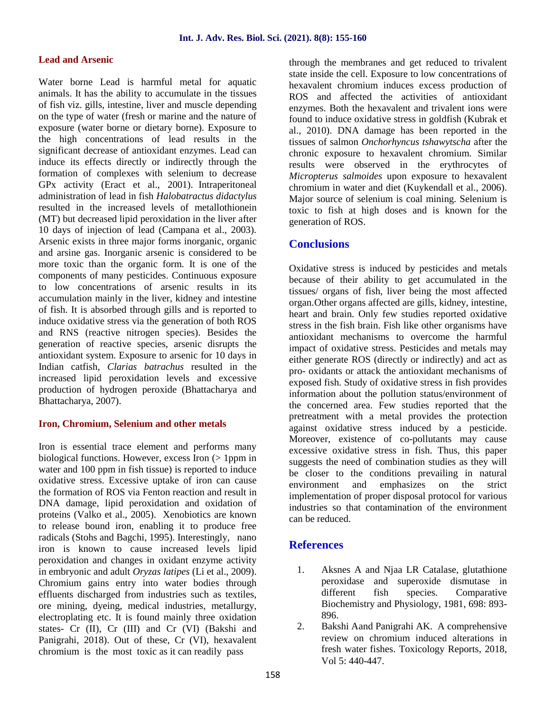#### **Lead and Arsenic**

Water borne Lead is harmful metal for aquatic animals. It has the ability to accumulate in the tissues of fish viz. gills, intestine, liver and muscle depending on the type of water (fresh or marine and the nature of exposure (water borne or dietary borne). Exposure to the high concentrations of lead results in the significant decrease of antioxidant enzymes. Lead can induce its effects directly or indirectly through the formation of complexes with selenium to decrease GPx activity (Eract et al., 2001). Intraperitoneal administration of lead in fish *Halobatractus didactylus* resulted in the increased levels of metallothionein (MT) but decreased lipid peroxidation in the liver after 10 days of injection of lead (Campana et al., 2003). Arsenic exists in three major forms inorganic, organic and arsine gas. Inorganic arsenic is considered to be more toxic than the organic form. It is one of the components of many pesticides. Continuous exposure to low concentrations of arsenic results in its accumulation mainly in the liver, kidney and intestine of fish. It is absorbed through gills and is reported to induce oxidative stress via the generation of both ROS and RNS (reactive nitrogen species). Besides the generation of reactive species, arsenic disrupts the antioxidant system. Exposure to arsenic for 10 days in Indian catfish, *Clarias batrachus* resulted in the increased lipid peroxidation levels and excessive production of hydrogen peroxide (Bhattacharya and Bhattacharya, 2007).

#### **Iron, Chromium, Selenium and other metals**

Iron is essential trace element and performs many biological functions. However, excess Iron (> 1ppm in water and 100 ppm in fish tissue) is reported to induce oxidative stress. Excessive uptake of iron can cause the formation of ROS via Fenton reaction and result in DNA damage, lipid peroxidation and oxidation of proteins (Valko et al., 2005). Xenobiotics are known to release bound iron, enabling it to produce free radicals (Stohs and Bagchi, 1995). Interestingly, nano iron is known to cause increased levels lipid peroxidation and changes in oxidant enzyme activity in embryonic and adult *Oryzas latipes* (Li et al., 2009). Chromium gains entry into water bodies through effluents discharged from industries such as textiles, ore mining, dyeing, medical industries, metallurgy, electroplating etc. It is found mainly three oxidation states- Cr (II), Cr (III) and Cr (VI) (Bakshi and Panigrahi, 2018). Out of these, Cr (VI), hexavalent chromium is the most toxic as it can readily pass

through the membranes and get reduced to trivalent state inside the cell. Exposure to low concentrations of hexavalent chromium induces excess production of ROS and affected the activities of antioxidant enzymes. Both the hexavalent and trivalent ions were found to induce oxidative stress in goldfish (Kubrak et al., 2010). DNA damage has been reported in the tissues of salmon *Onchorhyncus tshawytscha* after the chronic exposure to hexavalent chromium. Similar results were observed in the erythrocytes of *Micropterus salmoides* upon exposure to hexavalent chromium in water and diet (Kuykendall et al., 2006). Major source of selenium is coal mining. Selenium is toxic to fish at high doses and is known for the generation of ROS.

# **Conclusions**

Oxidative stress is induced by pesticides and metals because of their ability to get accumulated in the tissues/ organs of fish, liver being the most affected organ.Other organs affected are gills, kidney, intestine, heart and brain. Only few studies reported oxidative stress in the fish brain. Fish like other organisms have antioxidant mechanisms to overcome the harmful impact of oxidative stress. Pesticides and metals may either generate ROS (directly or indirectly) and act as pro- oxidants or attack the antioxidant mechanisms of exposed fish. Study of oxidative stress in fish provides information about the pollution status/environment of the concerned area. Few studies reported that the pretreatment with a metal provides the protection against oxidative stress induced by a pesticide. Moreover, existence of co-pollutants may cause excessive oxidative stress in fish. Thus, this paper suggests the need of combination studies as they will be closer to the conditions prevailing in natural environment and emphasizes on the strict implementation of proper disposal protocol for various industries so that contamination of the environment can be reduced.

# **References**

- 1. Aksnes A and Njaa LR Catalase, glutathione peroxidase and superoxide dismutase in different fish species. Comparative Biochemistry and Physiology, 1981, 698: 893- 896.
- 2. Bakshi Aand Panigrahi AK. A comprehensive review on chromium induced alterations in fresh water fishes. Toxicology Reports, 2018, Vol 5: 440-447.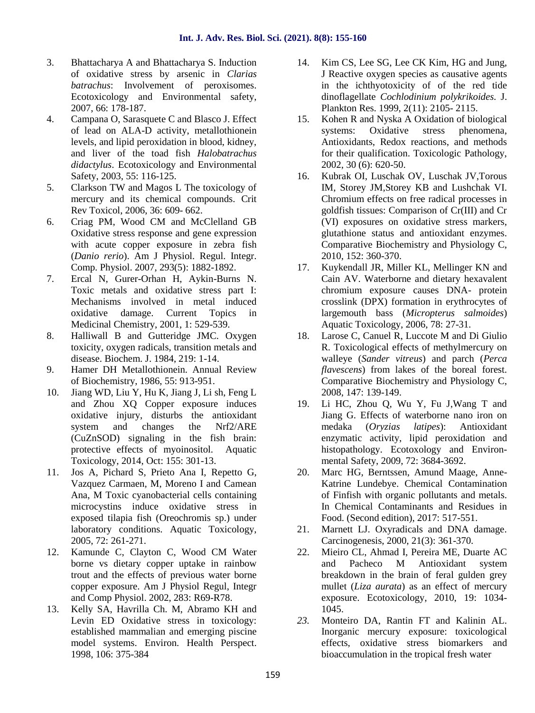- 3. Bhattacharya A and Bhattacharya S. Induction of oxidative stress by arsenic in *Clarias batrachus*: Involvement of peroxisomes. Ecotoxicology and Environmental safety, 2007, 66: 178-187.
- 4. Campana O, Sarasquete C and Blasco J. Effect of lead on ALA-D activity, metallothionein levels, and lipid peroxidation in blood, kidney, and liver of the toad fish *Halobatrachus didactylus*. Ecotoxicology and Environmental Safety, 2003, 55: 116-125.
- 5. Clarkson TW and Magos L The toxicology of mercury and its chemical compounds. Crit Rev Toxicol, 2006, 36: 609- 662.
- 6. Criag PM, Wood CM and McClelland GB Oxidative stress response and gene expression with acute copper exposure in zebra fish (*Danio rerio*). Am J Physiol. Regul. Integr. Comp. Physiol. 2007, 293(5): 1882-1892.
- 7. Ercal N, Gurer-Orhan H, Aykin-Burns N. Toxic metals and oxidative stress part I: Mechanisms involved in metal induced oxidative damage. Current Topics in Medicinal Chemistry, 2001, 1: 529-539.
- 8. Halliwall B and Gutteridge JMC. Oxygen toxicity, oxygen radicals, transition metals and disease. Biochem. J. 1984, 219: 1-14.
- 9. Hamer DH Metallothionein. Annual Review of Biochemistry, 1986, 55: 913-951.
- 10. Jiang WD, Liu Y, Hu K, Jiang J, Li sh, Feng L and Zhou XQ Copper exposure induces oxidative injury, disturbs the antioxidant system and changes the Nrf2/ARE (CuZnSOD) signaling in the fish brain: protective effects of myoinositol. Aquatic Toxicology, 2014, Oct: 155: 301-13.
- 11. Jos A, Pichard S, Prieto Ana I, Repetto G, Vazquez Carmaen, M, Moreno I and Camean Ana, M Toxic cyanobacterial cells containing microcystins induce oxidative stress in exposed tilapia fish (Oreochromis sp.) under laboratory conditions. Aquatic Toxicology, 2005, 72: 261-271.
- 12. Kamunde C, Clayton C, Wood CM Water borne vs dietary copper uptake in rainbow trout and the effects of previous water borne copper exposure. Am J Physiol Regul, Integr and Comp Physiol. 2002, 283: R69-R78.
- 13. Kelly SA, Havrilla Ch. M, Abramo KH and Levin ED Oxidative stress in toxicology: established mammalian and emerging piscine model systems. Environ. Health Perspect. 1998, 106: 375-384
- 14. Kim CS, Lee SG, Lee CK Kim, HG and Jung, J Reactive oxygen species as causative agents in the ichthyotoxicity of of the red tide dinoflagellate *Cochlodinium polykrikoides.* J. Plankton Res. 1999, 2(11): 2105- 2115.
- 15. Kohen R and Nyska A Oxidation of biological systems: Oxidative stress phenomena, Antioxidants, Redox reactions, and methods for their qualification. Toxicologic Pathology, 2002, 30 (6): 620-50.
- 16. Kubrak OI, Luschak OV, Luschak JV,Torous IM, Storey JM,Storey KB and Lushchak VI. Chromium effects on free radical processes in goldfish tissues: Comparison of Cr(III) and Cr (VI) exposures on oxidative stress markers, glutathione status and antioxidant enzymes. Comparative Biochemistry and Physiology C, 2010, 152: 360-370.
- 17. Kuykendall JR, Miller KL, Mellinger KN and Cain AV. Waterborne and dietary hexavalent chromium exposure causes DNA- protein crosslink (DPX) formation in erythrocytes of largemouth bass (*Micropterus salmoides*) Aquatic Toxicology, 2006, 78: 27-31.
- 18. Larose C, Canuel R, Luccote M and Di Giulio R. Toxicological effects of methylmercury on walleye (*Sander vitreus*) and parch (*Perca flavescens*) from lakes of the boreal forest. Comparative Biochemistry and Physiology C, 2008, 147: 139-149.
- 19. Li HC, Zhou Q, Wu Y, Fu J,Wang T and Jiang G. Effects of waterborne nano iron on medaka (*Oryzias latipes*): Antioxidant enzymatic activity, lipid peroxidation and histopathology. Ecotoxology and Environ mental Safety, 2009, 72: 3684-3692.
- 20. Marc HG, Berntssen, Amund Maage, Anne- Katrine Lundebye. Chemical Contamination of Finfish with organic pollutants and metals. In Chemical Contaminants and Residues in Food. (Second edition), 2017: 517-551.
- 21. Marnett LJ. Oxyradicals and DNA damage. Carcinogenesis, 2000, 21(3): 361-370.
- 22. Mieiro CL, Ahmad I, Pereira ME, Duarte AC and Pacheco M Antioxidant system breakdown in the brain of feral gulden grey mullet (*Liza aurata*) as an effect of mercury exposure. Ecotoxicology, 2010, 19: 1034- 1045.
- *23.* Monteiro DA, Rantin FT and Kalinin AL. Inorganic mercury exposure: toxicological effects, oxidative stress biomarkers and bioaccumulation in the tropical fresh water